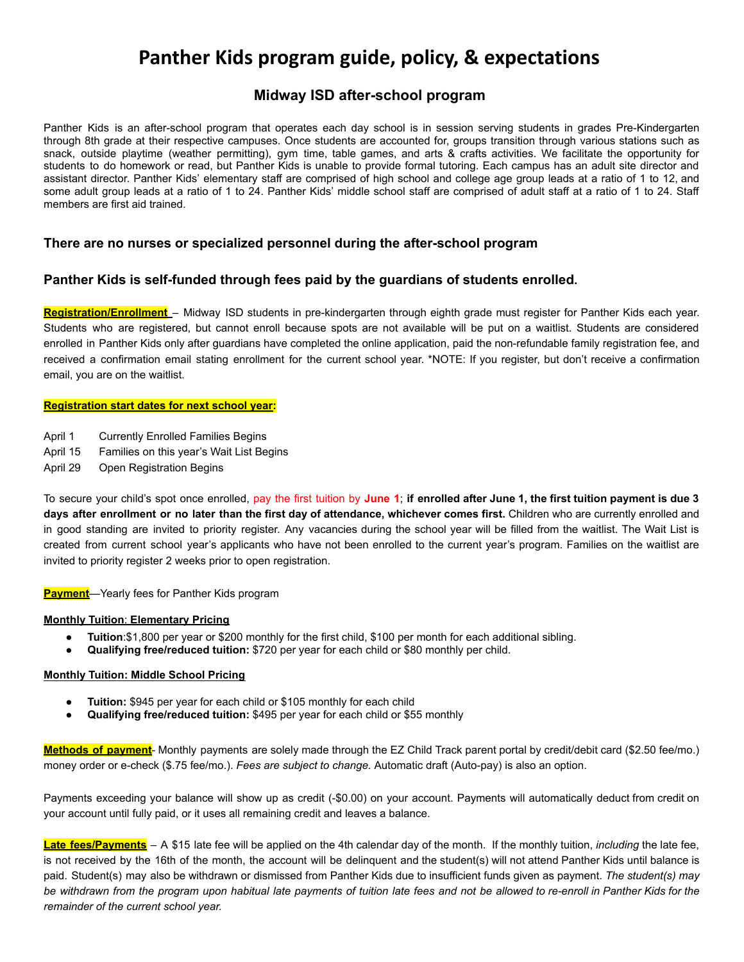# **Panther Kids program guide, policy, & expectations**

## **Midway ISD after-school program**

Panther Kids is an after-school program that operates each day school is in session serving students in grades Pre-Kindergarten through 8th grade at their respective campuses. Once students are accounted for, groups transition through various stations such as snack, outside playtime (weather permitting), gym time, table games, and arts & crafts activities. We facilitate the opportunity for students to do homework or read, but Panther Kids is unable to provide formal tutoring. Each campus has an adult site director and assistant director. Panther Kids' elementary staff are comprised of high school and college age group leads at a ratio of 1 to 12, and some adult group leads at a ratio of 1 to 24. Panther Kids' middle school staff are comprised of adult staff at a ratio of 1 to 24. Staff members are first aid trained.

## **There are no nurses or specialized personnel during the after-school program**

## **Panther Kids is self-funded through fees paid by the guardians of students enrolled.**

**Registration/Enrollment** – Midway ISD students in pre-kindergarten through eighth grade must register for Panther Kids each year. Students who are registered, but cannot enroll because spots are not available will be put on a waitlist. Students are considered enrolled in Panther Kids only after guardians have completed the online application, paid the non-refundable family registration fee, and received a confirmation email stating enrollment for the current school year. \*NOTE: If you register, but don't receive a confirmation email, you are on the waitlist.

### **Registration start dates for next school year:**

- April 1 Currently Enrolled Families Begins
- April 15 Families on this year's Wait List Begins
- April 29 Open Registration Begins

To secure your child's spot once enrolled, pay the first tuition by June 1; if enrolled after June 1, the first tuition payment is due 3 days after enrollment or no later than the first day of attendance, whichever comes first. Children who are currently enrolled and in good standing are invited to priority register. Any vacancies during the school year will be filled from the waitlist. The Wait List is created from current school year's applicants who have not been enrolled to the current year's program. Families on the waitlist are invited to priority register 2 weeks prior to open registration.

**Payment**—Yearly fees for Panther Kids program

### **Monthly Tuition**: **Elementary Pricing**

- **Tuition**:\$1,800 per year or \$200 monthly for the first child, \$100 per month for each additional sibling.
- **Qualifying free/reduced tuition:** \$720 per year for each child or \$80 monthly per child.

### **Monthly Tuition: Middle School Pricing**

- **Tuition:** \$945 per year for each child or \$105 monthly for each child
- Qualifying free/reduced tuition: \$495 per year for each child or \$55 monthly

**Methods of payment**- Monthly payments are solely made through the EZ Child Track parent portal by credit/debit card (\$2.50 fee/mo.) money order or e-check (\$.75 fee/mo.). *Fees are subject to change.* Automatic draft (Auto-pay) is also an option.

Payments exceeding your balance will show up as credit (-\$0.00) on your account. Payments will automatically deduct from credit on your account until fully paid, or it uses all remaining credit and leaves a balance.

**Late fees/Payments** – A \$15 late fee will be applied on the 4th calendar day of the month. If the monthly tuition, *including* the late fee, is not received by the 16th of the month, the account will be delinquent and the student(s) will not attend Panther Kids until balance is paid. Student(s) may also be withdrawn or dismissed from Panther Kids due to insufficient funds given as payment. *The student(s) may* be withdrawn from the program upon habitual late payments of tuition late fees and not be allowed to re-enroll in Panther Kids for the *remainder of the current school year.*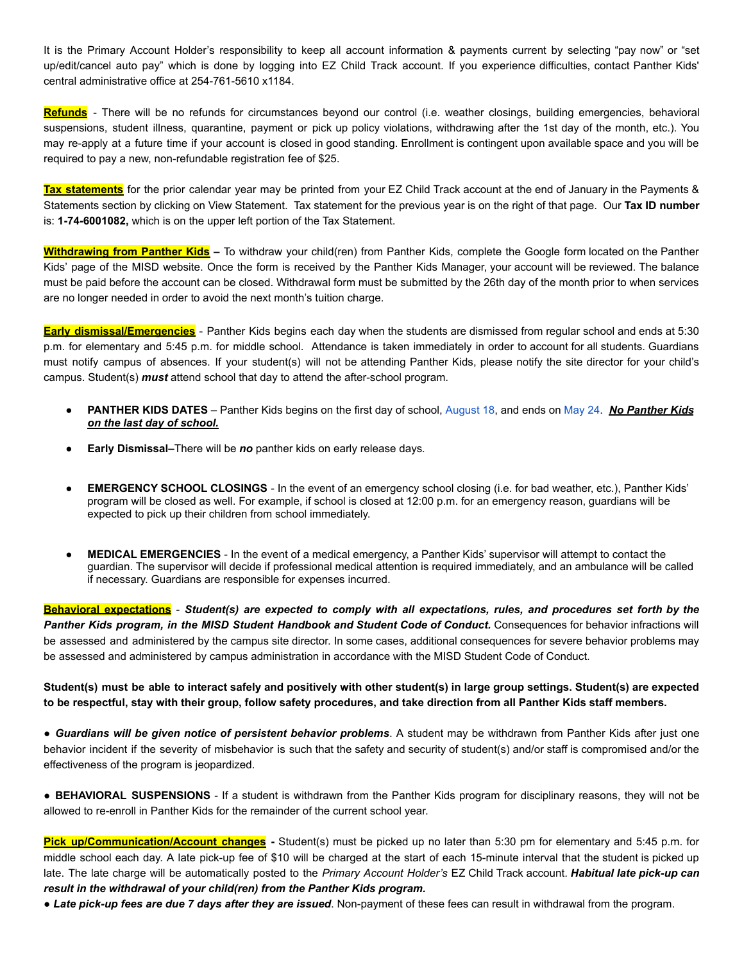It is the Primary Account Holder's responsibility to keep all account information & payments current by selecting "pay now" or "set up/edit/cancel auto pay" which is done by logging into EZ Child Track account. If you experience difficulties, contact Panther Kids' central administrative office at 254-761-5610 x1184.

**Refunds** - There will be no refunds for circumstances beyond our control (i.e. weather closings, building emergencies, behavioral suspensions, student illness, quarantine, payment or pick up policy violations, withdrawing after the 1st day of the month, etc.). You may re-apply at a future time if your account is closed in good standing. Enrollment is contingent upon available space and you will be required to pay a new, non-refundable registration fee of \$25.

**Tax statements** for the prior calendar year may be printed from your EZ Child Track account at the end of January in the Payments & Statements section by clicking on View Statement. Tax statement for the previous year is on the right of that page. Our **Tax ID number** is: **1-74-6001082,** which is on the upper left portion of the Tax Statement.

**Withdrawing from Panther Kids –** To withdraw your child(ren) from Panther Kids, complete the Google form located on the Panther Kids' page of the MISD website. Once the form is received by the Panther Kids Manager, your account will be reviewed. The balance must be paid before the account can be closed. Withdrawal form must be submitted by the 26th day of the month prior to when services are no longer needed in order to avoid the next month's tuition charge.

**Early dismissal/Emergencies** - Panther Kids begins each day when the students are dismissed from regular school and ends at 5:30 p.m. for elementary and 5:45 p.m. for middle school. Attendance is taken immediately in order to account for all students. Guardians must notify campus of absences. If your student(s) will not be attending Panther Kids, please notify the site director for your child's campus. Student(s) *must* attend school that day to attend the after-school program.

- **PANTHER KIDS DATES** Panther Kids begins on the first day of school, August 18, and ends on May 24. *No Panther Kids on the last day of school.*
- *●* **Early Dismissal***–*There will be *no* panther kids on early release days*.*
- **EMERGENCY SCHOOL CLOSINGS** In the event of an emergency school closing (i.e. for bad weather, etc.), Panther Kids' program will be closed as well. For example, if school is closed at 12:00 p.m. for an emergency reason, guardians will be expected to pick up their children from school immediately.
- **MEDICAL EMERGENCIES** In the event of a medical emergency, a Panther Kids' supervisor will attempt to contact the guardian. The supervisor will decide if professional medical attention is required immediately, and an ambulance will be called if necessary. Guardians are responsible for expenses incurred.

Behavioral expectations - Student(s) are expected to comply with all expectations, rules, and procedures set forth by the *Panther Kids program, in the MISD Student Handbook and Student Code of Conduct.* Consequences for behavior infractions will be assessed and administered by the campus site director. In some cases, additional consequences for severe behavior problems may be assessed and administered by campus administration in accordance with the MISD Student Code of Conduct.

Student(s) must be able to interact safely and positively with other student(s) in large group settings. Student(s) are expected **to be respectful, stay with their group, follow safety procedures, and take direction from all Panther Kids staff members.**

● *Guardians will be given notice of persistent behavior problems*. A student may be withdrawn from Panther Kids after just one behavior incident if the severity of misbehavior is such that the safety and security of student(s) and/or staff is compromised and/or the effectiveness of the program is jeopardized.

● **BEHAVIORAL SUSPENSIONS** - If a student is withdrawn from the Panther Kids program for disciplinary reasons, they will not be allowed to re-enroll in Panther Kids for the remainder of the current school year.

**Pick up/Communication/Account changes -** Student(s) must be picked up no later than 5:30 pm for elementary and 5:45 p.m. for middle school each day. A late pick-up fee of \$10 will be charged at the start of each 15-minute interval that the student is picked up late. The late charge will be automatically posted to the *Primary Account Holder's* EZ Child Track account. *Habitual late pick-up can result in the withdrawal of your child(ren) from the Panther Kids program.*

● *Late pick-up fees are due 7 days after they are issued*. Non-payment of these fees can result in withdrawal from the program.